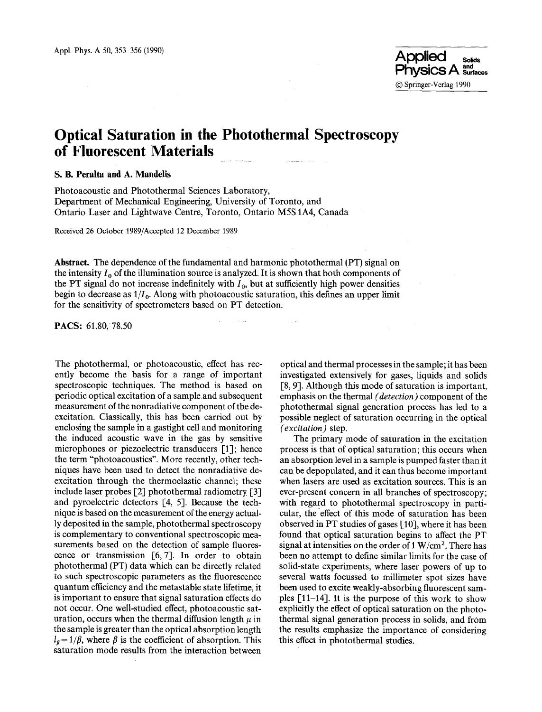# **Optical Saturation in the Photothermal Spectroscopy of Fluorescent Materials**

## **S. B. Peralta and A. Mandelis**

Photoacoustic and Photothermal Sciences Laboratory, Department of Mechanical Engineering, University of Toronto, and Ontario Laser and Lightwave Centre, Toronto, Ontario M5S IA4, Canada

Received 26 October 1989/Accepted 12 December 1989

**Abstract. The** dependence of the fundamental and harmonic photothermal (PT) signal on the intensity  $I_0$  of the illumination source is analyzed. It is shown that both components of the PT signal do not increase indefinitely with  $I_0$ , but at sufficiently high power densities begin to decrease as  $1/I_0$ . Along with photoacoustic saturation, this defines an upper limit for the sensitivity of spectrometers based on PT detection.

 $\sim 100$ 

PACS: 61.80, 78.50

**The** photothermal, or photoacoustic, effect has recently become the basis for a range of important spectroscopic techniques. The method is based on periodic optical excitation of a sample,and subsequent measurement of the nonradiative component of the deexcitation. Classically, this has been carried out by enclosing the sample in a gastight cell and monitoring the induced acoustic wave in the gas by sensitive microphones or piezoelectric transducers [1]; hence the term "photoacoustics". More recently, other techniques have been used to detect the nonradiative deexcitation through the thermoelastic channel; these include laser probes [2] photothermal radiometry [3] and pyroelectric detectors [4, 5]. Because the technique is based on the measurement of the energy actually deposited in the sample, photothermal spectroscopy is complementary to conventional spectroscopic measurements based on the detection of sample fluorescence or transmission  $[6, 7]$ . In order to obtain photothermal (PT) data which can be directly related to such spectroscopic parameters as the fluorescence quantum efficiency and the metastable state lifetime, it is important to ensure that signal saturation effects do not occur. One well-studied effect, photoacoustic saturation, occurs when the thermal diffusion length  $\mu$  in the sample is greater than the optical absorption length  $l_{\beta} = 1/\beta$ , where  $\beta$  is the coefficient of absorption. This saturation mode results from the interaction between

optical and thermal processes in the sample; it has been investigated extensively for gases, liquids and solids [8, 9]. Although this mode of saturation is important, emphasis on the thermal *(detection)* component of **the**  photothermal signal generation process has led to a possible neglect of saturation occurring in the optical *(excitation)* **step.** 

The primary mode of saturation in the excitation process is that of optical saturation; this occurs when an absorption level in a sample is pumped faster than it can be depopulated, and it can thus become important when lasers are used as excitation sources. This is an ever-present concern in all branches of spectroscopy; with regard to photothermal spectroscopy in particular, the effect of this mode of saturation has been observed in PT studies of gases [10], where it has been found that optical saturation begins to affect the PT signal at intensities on the order of  $1 W/cm^2$ . There has been no attempt to define similar limits for the case of solid-state experiments, where laser powers of up to several watts focussed to millimeter spot sizes have been used to excite weakly-absorbing fluorescent samples [11-14]. It is the purpose of this work to show explicitly the effect of optical saturation on the photothermal signal generation process in solids, and from the results emphasize the importance of considering this effect in photothermal studies.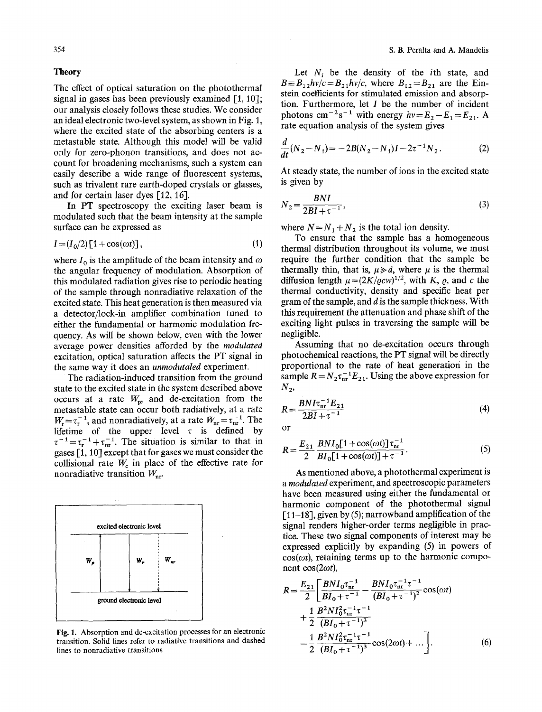## **Theory**

The effect of optical saturation on the photothermal signal in gases has been previously examined [1, 10]; our analysis closely follows these studies. We consider an ideal electronic two-level system, as shown in Fig. 1, where the excited state of the absorbing centers is a metastable state. Although this model will be valid only for zero-phonon transitions, and does not account for broadening mechanisms, such a system can easily describe a wide range of fluorescent systems, such as trivalent rare earth-doped crystals or glasses, and for certain laser dyes [12, 16].

In PT spectroscopy the exciting laser beam is modulated such that the beam intensity at the sample surface can be expressed as

$$
I = (I_0/2)\left[1 + \cos(\omega t)\right],\tag{1}
$$

where  $I_0$  is the amplitude of the beam intensity and  $\omega$ the angular frequency of modulation. Absorption of this modulated radiation gives rise to periodic heating of the sample through nonradiative relaxation of the excited state. This heat generation is then measured via a detector/lock-in amplifier combination tuned to either the fundamental or harmonic modulation frequency. As will be shown below, even with the lower average power densities afforded by the *modulated*  excitation, optical saturation affects the PT signal in the same way it does an *unmodutaled* experiment.

The radiation-induced transition from the ground state to the excited state in the system described above occurs at a rate  $W_p$ , and de-excitation from the metastable state can occur both radiatively, at a rate  $W_r = \tau_r^{-1}$ , and nonradiatively, at a rate  $W_{nr} = \tau_{nr}^{-1}$ . The lifetime of the upper level  $\tau$  is defined by  $\tau^{-1} = \tau_{\rm r}^{-1} + \tau_{\rm nr}^{-1}$ . The situation is similar to that in gases [1, 10] except that for gases we must consider the collisional rate  $W_c$  in place of the effective rate for nonradiative transition  $W_{\text{nr}}$ .



Fig. 1. Absorption and de-excitation processes for an electronic transition. Solid lines refer to radiative transitions and dashed lines to nonradiative transitions

Let  $N_i$  be the density of the *i*th state, and  $B = B_{12}h\nu/c = B_{21}h\nu/c$ , where  $B_{12} = B_{21}$  are the Einstein coefficients for stimulated emission and absorption. Furthermore, let  $I$  be the number of incident photons cm<sup>-2</sup>s<sup>-1</sup> with energy  $hv = E_2 - E_1 = E_{21}$ . A rate equation analysis of the system gives

$$
\frac{d}{dt}(N_2 - N_1) = -2B(N_2 - N_1)I - 2\tau^{-1}N_2.
$$
 (2)

At steady state, the number of ions in the excited state is given by

$$
N_2 = \frac{BNI}{2BI + \tau^{-1}},\tag{3}
$$

where  $N = N_1 + N_2$  is the total ion density.

To ensure that the sample has a homogeneous thermal distribution throughout its volume, we must require the further condition that the sample be thermally thin, that is,  $\mu \ge d$ , where  $\mu$  is the thermal diffusion length  $\mu = (2K/\varrho c w)^{1/2}$ , with K,  $\varrho$ , and c the thermal conductivity, density and specific heat per gram of the sample, and d is the sample thickness. With this requirement the attenuation and phase shift of the exciting light pulses in traversing the sample will be negligible.

Assuming that no de-excitation occurs through photochemical reactions, the PT signal will be directly proportional to the rate of heat generation in the sample  $R = N_2 \tau_{\text{nr}}^{-1} E_{21}$ . Using the above expression for  $N_{2}$ 

$$
R = \frac{BNI\tau_{\rm nr}^{-1}E_{21}}{2BI + \tau^{-1}}\tag{4}
$$

or

$$
R = \frac{E_{21}}{2} \frac{BNI_0[1 + \cos(\omega t)]\tau_{\text{nr}}^{-1}}{BI_0[1 + \cos(\omega t)] + \tau^{-1}}.
$$
 (5)

As mentioned above, a photothermal experiment is *a modulated* experiment, and spectroscopic parameters have been measured using either the fundamental or harmonic component of the photothermal signal  $[11-18]$ , given by (5); narrowband amplification of the signal renders higher-order terms negligible in practice. These two signal components of interest may be expressed explicitly by expanding (5) in powers of  $cos(\omega t)$ , retaining terms up to the harmonic component  $cos(2\omega t)$ ,

$$
R = \frac{E_{21}}{2} \left[ \frac{BNI_0 \tau_{\rm nr}^{-1}}{BI_0 + \tau^{-1}} - \frac{BNI_0 \tau_{\rm nr}^{-1} \tau^{-1}}{(BI_0 + \tau^{-1})^2} \cos(\omega t) + \frac{1}{2} \frac{B^2NI_0^2 \tau_{\rm nr}^{-1} \tau^{-1}}{(BI_0 + \tau^{-1})^3} - \frac{1}{2} \frac{B^2NI_0^2 \tau_{\rm nr}^{-1} \tau^{-1}}{(BI_0 + \tau^{-1})^3} \cos(2\omega t) + \dots \right].
$$
 (6)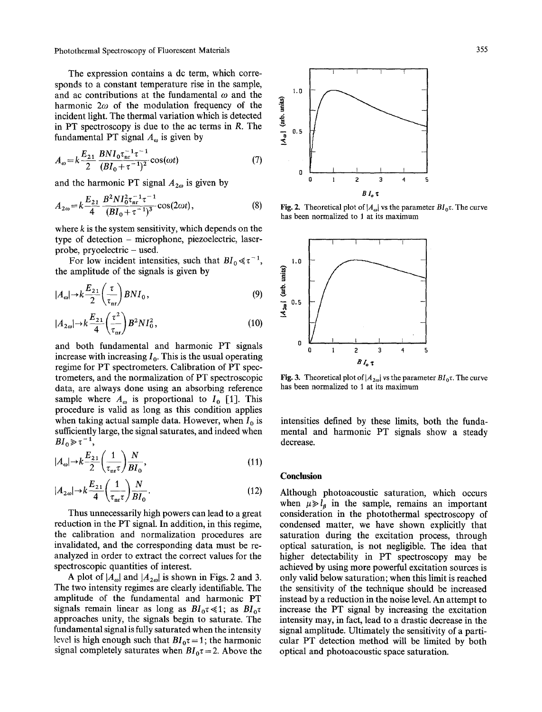Photothermal Spectroscopy of Fluorescent Materials 355

The expression contains a dc term, which corresponds to a constant temperature rise in the sample, and ac contributions at the fundamental  $\omega$  and the harmonic  $2\omega$  of the modulation frequency of the incident light. The thermal variation which is detected in PT spectroscopy is due to the ac terms in R. The fundamental PT signal  $A_{\omega}$  is given by

$$
A_{\omega} = k \frac{E_{21}}{2} \frac{BNI_0 \tau_{\text{nr}}^{-1} \tau^{-1}}{(BI_0 + \tau^{-1})^2} \cos(\omega t)
$$
 (7)

and the harmonic PT signal  $A_{2\omega}$  is given by

$$
A_{2\omega} = k \frac{E_{21}}{4} \frac{B^2 N I_0^2 \tau_{nr}^{-1} \tau^{-1}}{(B I_0 + \tau^{-1})^3} \cos(2\omega t), \tag{8}
$$

where  $k$  is the system sensitivity, which depends on the type of detection - microphone, piezoelectric, laserprobe, pryoelectric  $-$  used.

For low incident intensities, such that  $BI_0 \ll \tau^{-1}$ , the amplitude of the signals is given by

$$
|A_{\omega}| \rightarrow k \frac{E_{21}}{2} \left(\frac{\tau}{\tau_{\text{nr}}}\right) BNI_0, \tag{9}
$$

$$
|A_{2\omega}| \to k \frac{E_{21}}{4} \left(\frac{\tau^2}{\tau_{\rm nr}}\right) B^2 N I_0^2, \tag{10}
$$

and both fundamental and harmonic PT signals increase with increasing  $I_0$ . This is the usual operating regime for PT spectrometers. Calibration of PT spectrometers, and the normalization of PT spectroscopic data, are always done using an absorbing reference sample where  $A_{\omega}$  is proportional to  $I_0$  [1]. This procedure is valid as long as this condition applies when taking actual sample data. However, when  $I_0$  is sufficiently large, the signal saturates, and indeed when  $BI_0 \gg \tau^{-1}$ ,

$$
|A_{\omega}| \rightarrow k \frac{E_{21}}{2} \left(\frac{1}{\tau_{\text{nr}} \tau}\right) \frac{N}{BI_{0}},\tag{11}
$$

$$
|A_{2\omega}| \rightarrow k \frac{E_{21}}{4} \left(\frac{1}{\tau_{\text{nr}} \tau}\right) \frac{N}{B I_0}.
$$
 (12)

Thus unnecessarily high powers can lead to a great reduction in the PT signal. In addition, in this regime, the calibration and normalization procedures are invalidated, and the corresponding data must be reanalyzed in order to extract the correct values for the spectroscopic quantities of interest.

A plot of  $|A_{\alpha}|$  and  $|A_{2\alpha}|$  is shown in Figs. 2 and 3. The two intensity regimes are clearly identifiable. The amplitude of the fundamental and harmonic PT signals remain linear as long as  $BI_0\tau \ll 1$ ; as  $BI_0\tau$ approaches unity, the signals begin to saturate. The fundamental signal is fully saturated when the intensity level is high enough such that  $BI_0\tau = 1$ ; the harmonic signal completely saturates when  $BI_0\tau = 2$ . Above the



**Fig. 2.** Theoretical plot of  $|A_{\omega}|$  vs the parameter  $BI_0\tau$ . The curve has been normalized to 1 at its maximum



**Fig. 3.** Theoretical plot of  $|A_{2\omega}|$  vs the parameter  $BI_0\tau$ . The curve has been normalized to 1 at its maximum

intensities defined by these limits, both the fundamental and harmonic PT signals show a steady decrease.

#### **Conclusion**

Although photoacoustic saturation, which occurs when  $\mu \gg l_a$  in the sample, remains an important consideration in the photothermal spectroscopy of condensed matter, we have shown explicitly that saturation during the excitation process, through optical saturation, is not negligible. The idea that higher detectability in PT spectroscopy may be achieved by using more powerful excitation sources is only valid below saturation; when this limit is reached the sensitivity of the technique should be increased instead by a reduction in the noise level. An attempt to increase the PT signal by increasing the excitation intensity may, in fact, lead to a drastic decrease in the signal amplitude. Ultimately the sensitivity of a particular PT detection method will be limited by both optical and photoacoustic space saturation.